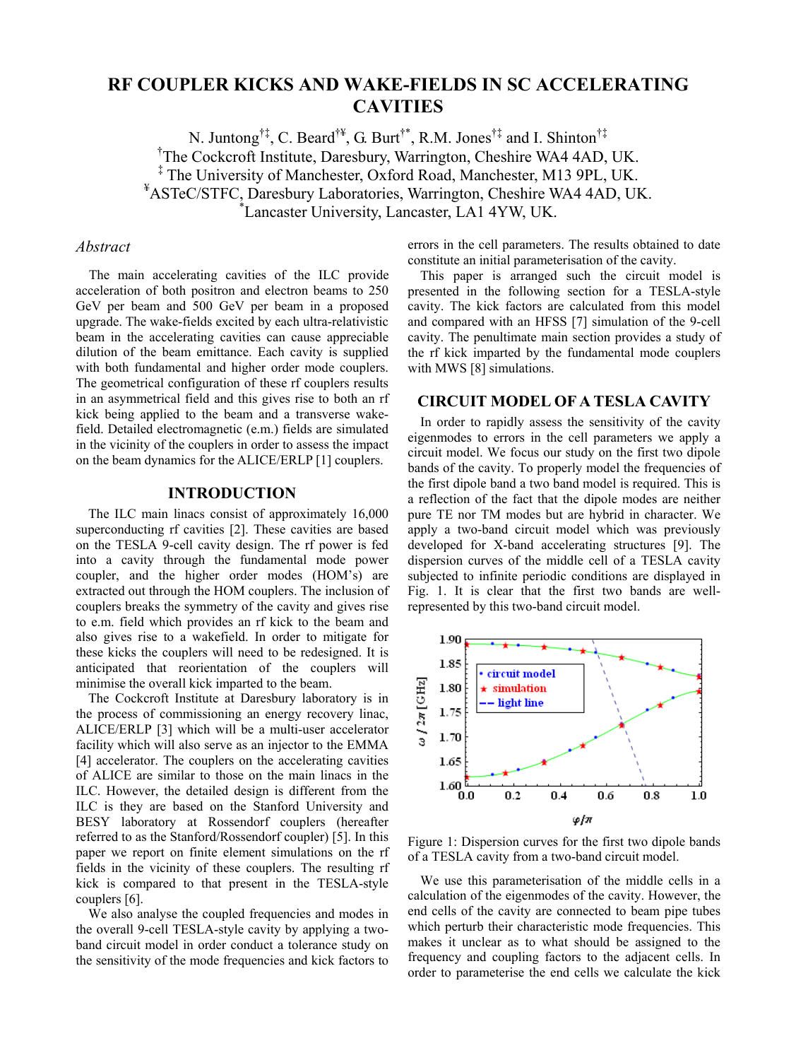# **RF COUPLER KICKS AND WAKE-FIELDS IN SC ACCELERATING CAVITIES**

N. Juntong†‡, C. Beard†¥, G. Burt†\*, R.M. Jones†‡ and I. Shinton†‡ † <sup>†</sup>The Cockcroft Institute, Daresbury, Warrington, Cheshire WA4 4AD, UK. ‡ The University of Manchester, Oxford Road, Manchester, M13 9PL, UK. <sup>¥</sup>ASTeC/STFC, Daresbury Laboratories, Warrington, Cheshire WA4 4AD, UK. Lancaster University, Lancaster, LA1 4YW, UK.

#### *Abstract*

The main accelerating cavities of the ILC provide acceleration of both positron and electron beams to 250 GeV per beam and 500 GeV per beam in a proposed upgrade. The wake-fields excited by each ultra-relativistic beam in the accelerating cavities can cause appreciable dilution of the beam emittance. Each cavity is supplied with both fundamental and higher order mode couplers. The geometrical configuration of these rf couplers results in an asymmetrical field and this gives rise to both an rf kick being applied to the beam and a transverse wakefield. Detailed electromagnetic (e.m.) fields are simulated in the vicinity of the couplers in order to assess the impact on the beam dynamics for the ALICE/ERLP [1] couplers.

## **INTRODUCTION**

The ILC main linacs consist of approximately 16,000 superconducting rf cavities [2]. These cavities are based on the TESLA 9-cell cavity design. The rf power is fed into a cavity through the fundamental mode power coupler, and the higher order modes (HOM's) are extracted out through the HOM couplers. The inclusion of couplers breaks the symmetry of the cavity and gives rise to e.m. field which provides an rf kick to the beam and also gives rise to a wakefield. In order to mitigate for these kicks the couplers will need to be redesigned. It is anticipated that reorientation of the couplers will minimise the overall kick imparted to the beam.

The Cockcroft Institute at Daresbury laboratory is in the process of commissioning an energy recovery linac, ALICE/ERLP [3] which will be a multi-user accelerator facility which will also serve as an injector to the EMMA [4] accelerator. The couplers on the accelerating cavities of ALICE are similar to those on the main linacs in the ILC. However, the detailed design is different from the ILC is they are based on the Stanford University and BESY laboratory at Rossendorf couplers (hereafter referred to as the Stanford/Rossendorf coupler) [5]. In this paper we report on finite element simulations on the rf fields in the vicinity of these couplers. The resulting rf kick is compared to that present in the TESLA-style couplers [6].

We also analyse the coupled frequencies and modes in the overall 9-cell TESLA-style cavity by applying a twoband circuit model in order conduct a tolerance study on the sensitivity of the mode frequencies and kick factors to errors in the cell parameters. The results obtained to date constitute an initial parameterisation of the cavity.

This paper is arranged such the circuit model is presented in the following section for a TESLA-style cavity. The kick factors are calculated from this model and compared with an HFSS [7] simulation of the 9-cell cavity. The penultimate main section provides a study of the rf kick imparted by the fundamental mode couplers with MWS [8] simulations.

## **CIRCUIT MODEL OF A TESLA CAVITY**

In order to rapidly assess the sensitivity of the cavity eigenmodes to errors in the cell parameters we apply a circuit model. We focus our study on the first two dipole bands of the cavity. To properly model the frequencies of the first dipole band a two band model is required. This is a reflection of the fact that the dipole modes are neither pure TE nor TM modes but are hybrid in character. We apply a two-band circuit model which was previously developed for X-band accelerating structures [9]. The dispersion curves of the middle cell of a TESLA cavity subjected to infinite periodic conditions are displayed in Fig. 1. It is clear that the first two bands are wellrepresented by this two-band circuit model.



Figure 1: Dispersion curves for the first two dipole bands of a TESLA cavity from a two-band circuit model.

We use this parameterisation of the middle cells in a calculation of the eigenmodes of the cavity. However, the end cells of the cavity are connected to beam pipe tubes which perturb their characteristic mode frequencies. This makes it unclear as to what should be assigned to the frequency and coupling factors to the adjacent cells. In order to parameterise the end cells we calculate the kick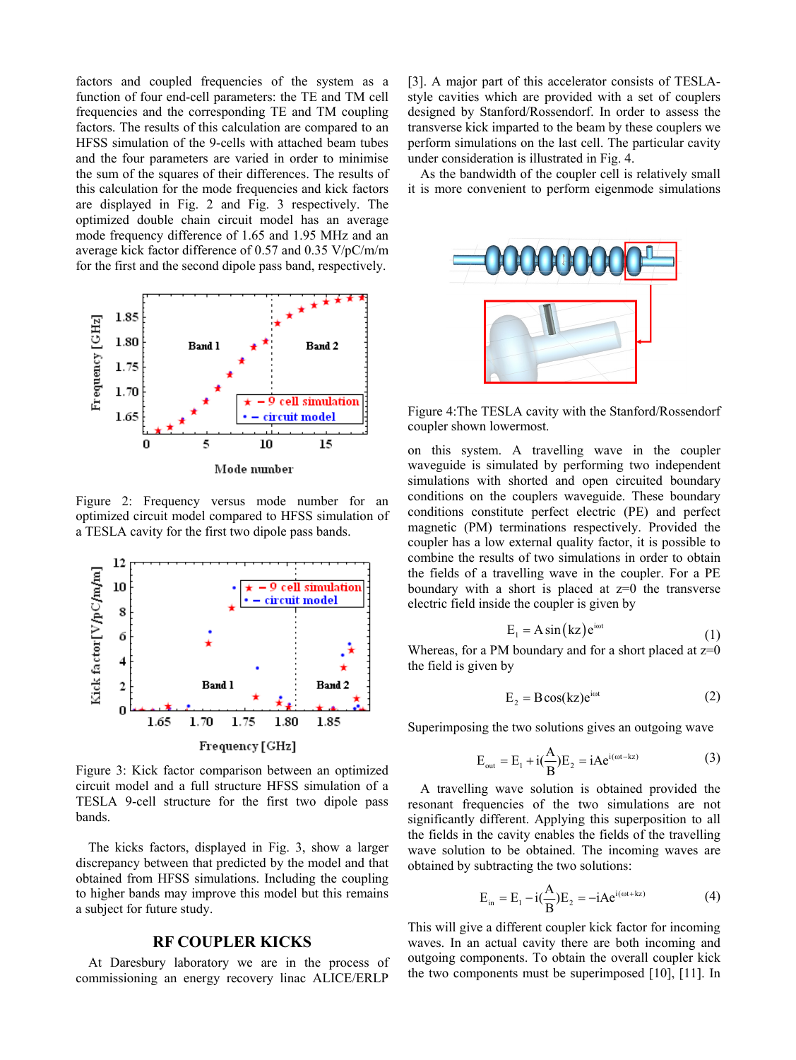factors and coupled frequencies of the system as a function of four end-cell parameters: the TE and TM cell frequencies and the corresponding TE and TM coupling factors. The results of this calculation are compared to an HFSS simulation of the 9-cells with attached beam tubes and the four parameters are varied in order to minimise the sum of the squares of their differences. The results of this calculation for the mode frequencies and kick factors are displayed in Fig. 2 and Fig. 3 respectively. The optimized double chain circuit model has an average mode frequency difference of 1.65 and 1.95 MHz and an average kick factor difference of 0.57 and 0.35 V/pC/m/m for the first and the second dipole pass band, respectively.



Figure 2: Frequency versus mode number for an optimized circuit model compared to HFSS simulation of a TESLA cavity for the first two dipole pass bands.



Figure 3: Kick factor comparison between an optimized circuit model and a full structure HFSS simulation of a TESLA 9-cell structure for the first two dipole pass bands.

The kicks factors, displayed in Fig. 3, show a larger discrepancy between that predicted by the model and that obtained from HFSS simulations. Including the coupling to higher bands may improve this model but this remains a subject for future study.

## **RF COUPLER KICKS**

At Daresbury laboratory we are in the process of commissioning an energy recovery linac ALICE/ERLP

[3]. A major part of this accelerator consists of TESLAstyle cavities which are provided with a set of couplers designed by Stanford/Rossendorf. In order to assess the transverse kick imparted to the beam by these couplers we perform simulations on the last cell. The particular cavity under consideration is illustrated in Fig. 4.

As the bandwidth of the coupler cell is relatively small it is more convenient to perform eigenmode simulations



Figure 4:The TESLA cavity with the Stanford/Rossendorf coupler shown lowermost.

on this system. A travelling wave in the coupler waveguide is simulated by performing two independent simulations with shorted and open circuited boundary conditions on the couplers waveguide. These boundary conditions constitute perfect electric (PE) and perfect magnetic (PM) terminations respectively. Provided the coupler has a low external quality factor, it is possible to combine the results of two simulations in order to obtain the fields of a travelling wave in the coupler. For a PE boundary with a short is placed at  $z=0$  the transverse electric field inside the coupler is given by

$$
E_1 = A \sin(kz) e^{i\omega t}
$$
 (1)

Whereas, for a PM boundary and for a short placed at  $z=0$ the field is given by

$$
E_2 = B\cos(kz)e^{i\omega t} \tag{2}
$$

Superimposing the two solutions gives an outgoing wave

$$
E_{out} = E_1 + i\left(\frac{A}{B}\right)E_2 = iAe^{i(\omega t - kz)}
$$
 (3)

A travelling wave solution is obtained provided the resonant frequencies of the two simulations are not significantly different. Applying this superposition to all the fields in the cavity enables the fields of the travelling wave solution to be obtained. The incoming waves are obtained by subtracting the two solutions:

$$
E_{in} = E_1 - i(\frac{A}{B})E_2 = -iAe^{i(\omega t + kz)}
$$
 (4)

This will give a different coupler kick factor for incoming waves. In an actual cavity there are both incoming and outgoing components. To obtain the overall coupler kick the two components must be superimposed [10], [11]. In